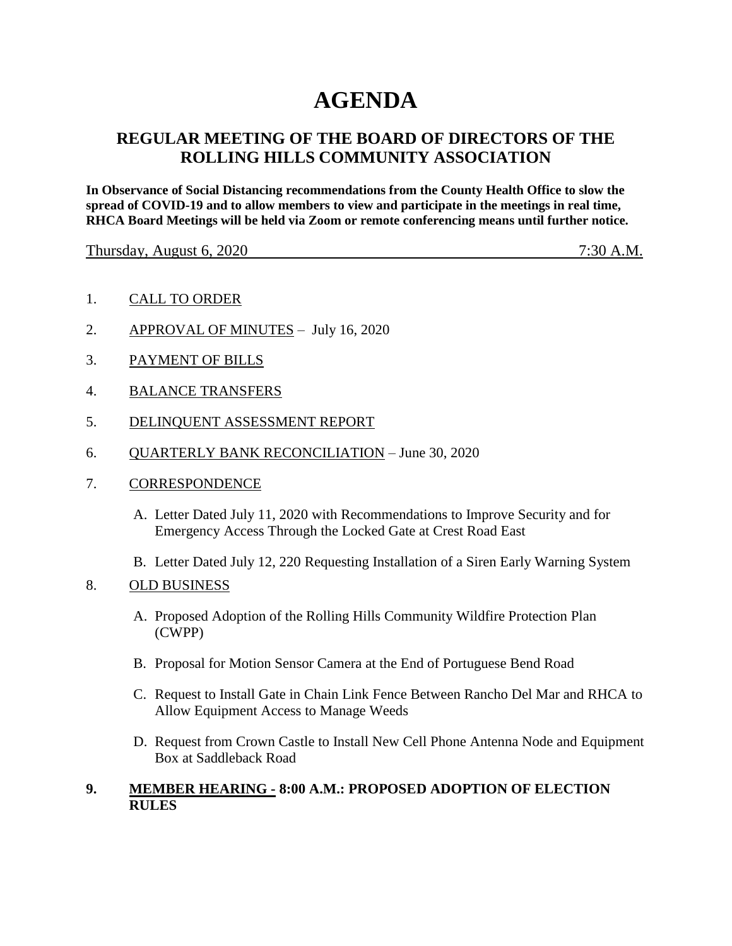# **AGENDA**

## **REGULAR MEETING OF THE BOARD OF DIRECTORS OF THE ROLLING HILLS COMMUNITY ASSOCIATION**

**In Observance of Social Distancing recommendations from the County Health Office to slow the spread of COVID-19 and to allow members to view and participate in the meetings in real time, RHCA Board Meetings will be held via Zoom or remote conferencing means until further notice.** 

Thursday, August 6, 2020 7:30 A.M.

- 1. CALL TO ORDER
- 2. APPROVAL OF MINUTES July 16, 2020
- 3. PAYMENT OF BILLS
- 4. BALANCE TRANSFERS
- 5. DELINQUENT ASSESSMENT REPORT
- 6. QUARTERLY BANK RECONCILIATION June 30, 2020
- 7. CORRESPONDENCE
	- A. Letter Dated July 11, 2020 with Recommendations to Improve Security and for Emergency Access Through the Locked Gate at Crest Road East
	- B. Letter Dated July 12, 220 Requesting Installation of a Siren Early Warning System
- 8. OLD BUSINESS
	- A. Proposed Adoption of the Rolling Hills Community Wildfire Protection Plan (CWPP)
	- B. Proposal for Motion Sensor Camera at the End of Portuguese Bend Road
	- C. Request to Install Gate in Chain Link Fence Between Rancho Del Mar and RHCA to Allow Equipment Access to Manage Weeds
	- D. Request from Crown Castle to Install New Cell Phone Antenna Node and Equipment Box at Saddleback Road

#### **9. MEMBER HEARING - 8:00 A.M.: PROPOSED ADOPTION OF ELECTION RULES**